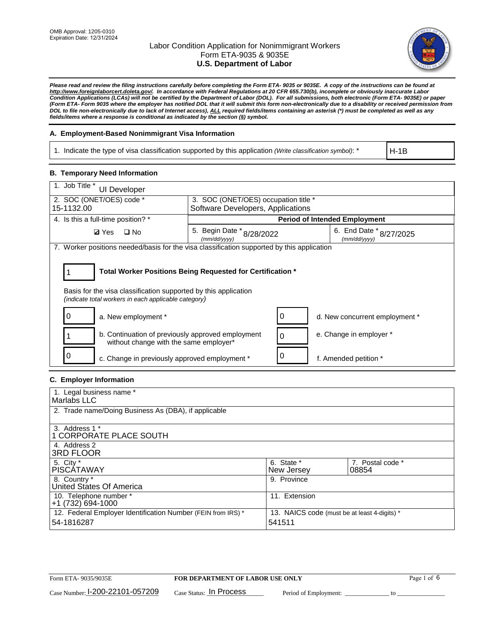

*Please read and review the filing instructions carefully before completing the Form ETA- 9035 or 9035E. A copy of the instructions can be found at http://www.foreignlaborcert.doleta.gov/. In accordance with Federal Regulations at 20 CFR 655.730(b), incomplete or obviously inaccurate Labor Condition Applications (LCAs) will not be certified by the Department of Labor (DOL). For all submissions, both electronic (Form ETA- 9035E) or paper (Form ETA- Form 9035 where the employer has notified DOL that it will submit this form non-electronically due to a disability or received permission from DOL to file non-electronically due to lack of Internet access), ALL required fields/items containing an asterisk (\*) must be completed as well as any fields/items where a response is conditional as indicated by the section (§) symbol.* 

### **A. Employment-Based Nonimmigrant Visa Information**

1. Indicate the type of visa classification supported by this application *(Write classification symbol)*: \*

H-1B

#### **B. Temporary Need Information**

| 1. Job Title *<br>UI Developer                                                                                                                                                        |                                                                           |                                         |  |  |  |
|---------------------------------------------------------------------------------------------------------------------------------------------------------------------------------------|---------------------------------------------------------------------------|-----------------------------------------|--|--|--|
| 2. SOC (ONET/OES) code *<br>15-1132.00                                                                                                                                                | 3. SOC (ONET/OES) occupation title *<br>Software Developers, Applications |                                         |  |  |  |
|                                                                                                                                                                                       |                                                                           |                                         |  |  |  |
| 4. Is this a full-time position? *                                                                                                                                                    |                                                                           | <b>Period of Intended Employment</b>    |  |  |  |
| $\Box$ No<br><b>Ø</b> Yes                                                                                                                                                             | 5. Begin Date $*_{8/28/2022}$<br>(mm/dd/yyyy)                             | 6. End Date * 8/27/2025<br>(mm/dd/yyyy) |  |  |  |
| 7. Worker positions needed/basis for the visa classification supported by this application                                                                                            |                                                                           |                                         |  |  |  |
| Total Worker Positions Being Requested for Certification *<br>Basis for the visa classification supported by this application<br>(indicate total workers in each applicable category) |                                                                           |                                         |  |  |  |
| a. New employment *                                                                                                                                                                   | 0                                                                         | d. New concurrent employment *          |  |  |  |
| b. Continuation of previously approved employment<br>without change with the same employer*                                                                                           | 0                                                                         | e. Change in employer *                 |  |  |  |
| c. Change in previously approved employment *                                                                                                                                         |                                                                           | f. Amended petition *                   |  |  |  |

### **C. Employer Information**

| 1. Legal business name *                                                   |                                                        |                           |
|----------------------------------------------------------------------------|--------------------------------------------------------|---------------------------|
| Marlabs LLC                                                                |                                                        |                           |
| 2. Trade name/Doing Business As (DBA), if applicable                       |                                                        |                           |
| 3. Address 1 *<br>1 CORPORATE PLACE SOUTH<br>4. Address 2                  |                                                        |                           |
| <b>3RD FLOOR</b>                                                           |                                                        |                           |
| 5. City *<br><b>PISCÁTAWAY</b>                                             | 6. State *<br>New Jersey                               | 7. Postal code *<br>08854 |
| 8. Country *<br>United States Of America                                   | 9. Province                                            |                           |
| 10. Telephone number *<br>$+1(732)694-1000$                                | 11. Extension                                          |                           |
| 12. Federal Employer Identification Number (FEIN from IRS) *<br>54-1816287 | 13. NAICS code (must be at least 4-digits) *<br>541511 |                           |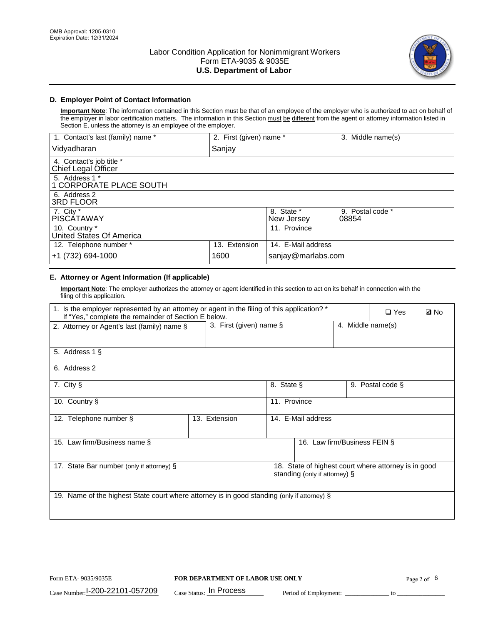

## **D. Employer Point of Contact Information**

**Important Note**: The information contained in this Section must be that of an employee of the employer who is authorized to act on behalf of the employer in labor certification matters. The information in this Section must be different from the agent or attorney information listed in Section E, unless the attorney is an employee of the employer.

| 1. Contact's last (family) name *               | 2. First (given) name * |                          | 3. Middle name(s)         |
|-------------------------------------------------|-------------------------|--------------------------|---------------------------|
| Vidyadharan                                     | Sanjay                  |                          |                           |
| 4. Contact's job title *<br>Chief Legal Officer |                         |                          |                           |
| 5. Address 1 *<br>1 CORPORATE PLACE SOUTH       |                         |                          |                           |
| 6. Address 2<br><b>3RD FLOOR</b>                |                         |                          |                           |
| 7. City *<br><b>PISCÁTAWAY</b>                  |                         | 8. State *<br>New Jersey | 9. Postal code *<br>08854 |
| 10. Country *<br>United States Of America       |                         | 11. Province             |                           |
| 12. Telephone number *                          | 13. Extension           | 14. E-Mail address       |                           |
| +1 (732) 694-1000                               | 1600                    | sanjay@marlabs.com       |                           |

# **E. Attorney or Agent Information (If applicable)**

**Important Note**: The employer authorizes the attorney or agent identified in this section to act on its behalf in connection with the filing of this application.

| 1. Is the employer represented by an attorney or agent in the filing of this application? *<br>If "Yes," complete the remainder of Section E below. |                            |              |                               | $\Box$ Yes        | <b>Ø</b> No                                          |  |
|-----------------------------------------------------------------------------------------------------------------------------------------------------|----------------------------|--------------|-------------------------------|-------------------|------------------------------------------------------|--|
| 2. Attorney or Agent's last (family) name §                                                                                                         | 3. First (given) name $\S$ |              |                               | 4. Middle name(s) |                                                      |  |
| 5. Address 1 §                                                                                                                                      |                            |              |                               |                   |                                                      |  |
| 6. Address 2                                                                                                                                        |                            |              |                               |                   |                                                      |  |
| 7. City §                                                                                                                                           |                            | 8. State §   |                               |                   | 9. Postal code §                                     |  |
| 10. Country §                                                                                                                                       |                            | 11. Province |                               |                   |                                                      |  |
| 12. Telephone number §                                                                                                                              | 13. Extension              |              | 14. E-Mail address            |                   |                                                      |  |
| 15. Law firm/Business name §                                                                                                                        |                            |              | 16. Law firm/Business FEIN §  |                   |                                                      |  |
| 17. State Bar number (only if attorney) §                                                                                                           |                            |              | standing (only if attorney) § |                   | 18. State of highest court where attorney is in good |  |
| 19. Name of the highest State court where attorney is in good standing (only if attorney) §                                                         |                            |              |                               |                   |                                                      |  |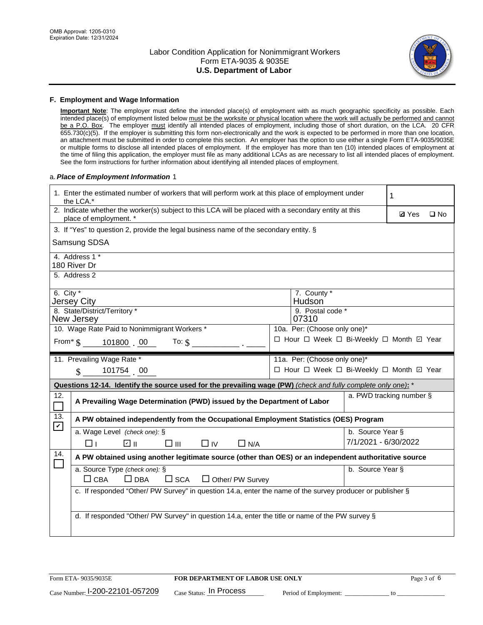

#### **F. Employment and Wage Information**

**Important Note**: The employer must define the intended place(s) of employment with as much geographic specificity as possible. Each intended place(s) of employment listed below must be the worksite or physical location where the work will actually be performed and cannot be a P.O. Box. The employer must identify all intended places of employment, including those of short duration, on the LCA. 20 CFR 655.730(c)(5). If the employer is submitting this form non-electronically and the work is expected to be performed in more than one location, an attachment must be submitted in order to complete this section. An employer has the option to use either a single Form ETA-9035/9035E or multiple forms to disclose all intended places of employment. If the employer has more than ten (10) intended places of employment at the time of filing this application, the employer must file as many additional LCAs as are necessary to list all intended places of employment. See the form instructions for further information about identifying all intended places of employment.

#### a.*Place of Employment Information* 1

| 1. Enter the estimated number of workers that will perform work at this place of employment under<br>the LCA.*                 | 1                                                                                                     |                          |  |  |  |  |
|--------------------------------------------------------------------------------------------------------------------------------|-------------------------------------------------------------------------------------------------------|--------------------------|--|--|--|--|
| 2. Indicate whether the worker(s) subject to this LCA will be placed with a secondary entity at this<br>place of employment. * | <b>Ø</b> Yes<br>$\square$ No                                                                          |                          |  |  |  |  |
| 3. If "Yes" to question 2, provide the legal business name of the secondary entity. §                                          |                                                                                                       |                          |  |  |  |  |
| Samsung SDSA                                                                                                                   |                                                                                                       |                          |  |  |  |  |
| 4. Address 1 *<br>180 River Dr                                                                                                 |                                                                                                       |                          |  |  |  |  |
| 5. Address 2                                                                                                                   |                                                                                                       |                          |  |  |  |  |
| 6. City $*$<br><b>Jersey City</b>                                                                                              | 7. County *<br>Hudson <sup>®</sup>                                                                    |                          |  |  |  |  |
| 8. State/District/Territory *<br>New Jersey                                                                                    | 9. Postal code *<br>07310                                                                             |                          |  |  |  |  |
| 10. Wage Rate Paid to Nonimmigrant Workers *                                                                                   | 10a. Per: (Choose only one)*                                                                          |                          |  |  |  |  |
| From* \$101800 00<br>To: $\mathsf{S}$ $\overline{\phantom{a}}$                                                                 | □ Hour □ Week □ Bi-Weekly □ Month ☑ Year                                                              |                          |  |  |  |  |
| 11. Prevailing Wage Rate *                                                                                                     | 11a. Per: (Choose only one)*                                                                          |                          |  |  |  |  |
| 101754 00<br>$\mathbf{\$}$                                                                                                     | □ Hour □ Week □ Bi-Weekly □ Month ☑ Year                                                              |                          |  |  |  |  |
| Questions 12-14. Identify the source used for the prevailing wage (PW) (check and fully complete only one): *                  |                                                                                                       |                          |  |  |  |  |
| 12.<br>A Prevailing Wage Determination (PWD) issued by the Department of Labor                                                 |                                                                                                       | a. PWD tracking number § |  |  |  |  |
| 13.<br>A PW obtained independently from the Occupational Employment Statistics (OES) Program<br>$\blacktriangledown$           |                                                                                                       |                          |  |  |  |  |
| a. Wage Level (check one): §                                                                                                   |                                                                                                       | b. Source Year §         |  |  |  |  |
| ☑ ⊪<br>□⊪<br>$\Box$ IV<br>$\Box$ N/A<br>⊓⊥                                                                                     |                                                                                                       | 7/1/2021 - 6/30/2022     |  |  |  |  |
| 14.                                                                                                                            | A PW obtained using another legitimate source (other than OES) or an independent authoritative source |                          |  |  |  |  |
| a. Source Type (check one): §<br>b. Source Year §                                                                              |                                                                                                       |                          |  |  |  |  |
| $\Box$ CBA<br>$\Box$ DBA<br>$\square$ SCA<br>$\Box$ Other/ PW Survey                                                           |                                                                                                       |                          |  |  |  |  |
| c. If responded "Other/ PW Survey" in question 14.a, enter the name of the survey producer or publisher §                      |                                                                                                       |                          |  |  |  |  |
|                                                                                                                                |                                                                                                       |                          |  |  |  |  |
|                                                                                                                                | d. If responded "Other/ PW Survey" in question 14.a, enter the title or name of the PW survey §       |                          |  |  |  |  |
|                                                                                                                                |                                                                                                       |                          |  |  |  |  |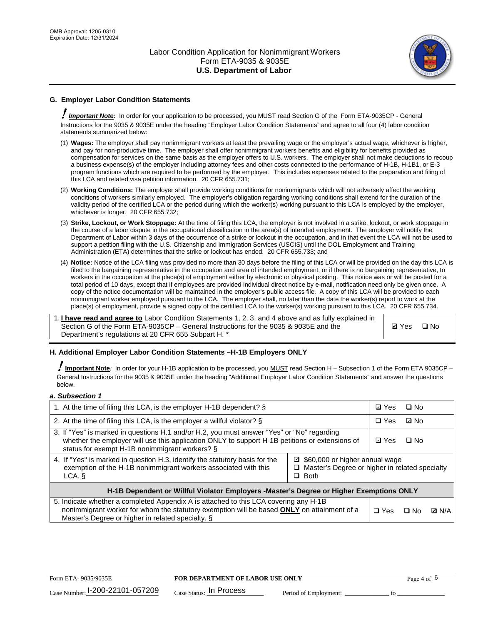

# **G. Employer Labor Condition Statements**

! *Important Note:* In order for your application to be processed, you MUST read Section G of the Form ETA-9035CP - General Instructions for the 9035 & 9035E under the heading "Employer Labor Condition Statements" and agree to all four (4) labor condition statements summarized below:

- (1) **Wages:** The employer shall pay nonimmigrant workers at least the prevailing wage or the employer's actual wage, whichever is higher, and pay for non-productive time. The employer shall offer nonimmigrant workers benefits and eligibility for benefits provided as compensation for services on the same basis as the employer offers to U.S. workers. The employer shall not make deductions to recoup a business expense(s) of the employer including attorney fees and other costs connected to the performance of H-1B, H-1B1, or E-3 program functions which are required to be performed by the employer. This includes expenses related to the preparation and filing of this LCA and related visa petition information. 20 CFR 655.731;
- (2) **Working Conditions:** The employer shall provide working conditions for nonimmigrants which will not adversely affect the working conditions of workers similarly employed. The employer's obligation regarding working conditions shall extend for the duration of the validity period of the certified LCA or the period during which the worker(s) working pursuant to this LCA is employed by the employer, whichever is longer. 20 CFR 655.732;
- (3) **Strike, Lockout, or Work Stoppage:** At the time of filing this LCA, the employer is not involved in a strike, lockout, or work stoppage in the course of a labor dispute in the occupational classification in the area(s) of intended employment. The employer will notify the Department of Labor within 3 days of the occurrence of a strike or lockout in the occupation, and in that event the LCA will not be used to support a petition filing with the U.S. Citizenship and Immigration Services (USCIS) until the DOL Employment and Training Administration (ETA) determines that the strike or lockout has ended. 20 CFR 655.733; and
- (4) **Notice:** Notice of the LCA filing was provided no more than 30 days before the filing of this LCA or will be provided on the day this LCA is filed to the bargaining representative in the occupation and area of intended employment, or if there is no bargaining representative, to workers in the occupation at the place(s) of employment either by electronic or physical posting. This notice was or will be posted for a total period of 10 days, except that if employees are provided individual direct notice by e-mail, notification need only be given once. A copy of the notice documentation will be maintained in the employer's public access file. A copy of this LCA will be provided to each nonimmigrant worker employed pursuant to the LCA. The employer shall, no later than the date the worker(s) report to work at the place(s) of employment, provide a signed copy of the certified LCA to the worker(s) working pursuant to this LCA. 20 CFR 655.734.

1. **I have read and agree to** Labor Condition Statements 1, 2, 3, and 4 above and as fully explained in Section G of the Form ETA-9035CP – General Instructions for the 9035 & 9035E and the Department's regulations at 20 CFR 655 Subpart H. \*

**Ø**Yes ロNo

### **H. Additional Employer Labor Condition Statements –H-1B Employers ONLY**

!**Important Note***:* In order for your H-1B application to be processed, you MUST read Section H – Subsection 1 of the Form ETA 9035CP – General Instructions for the 9035 & 9035E under the heading "Additional Employer Labor Condition Statements" and answer the questions below.

#### *a. Subsection 1*

| 1. At the time of filing this LCA, is the employer H-1B dependent? §                                                                                                                                                                                            |  |              | $\square$ No |              |
|-----------------------------------------------------------------------------------------------------------------------------------------------------------------------------------------------------------------------------------------------------------------|--|--------------|--------------|--------------|
| 2. At the time of filing this LCA, is the employer a willful violator? $\S$                                                                                                                                                                                     |  | $\Box$ Yes   | ⊡ No         |              |
| 3. If "Yes" is marked in questions H.1 and/or H.2, you must answer "Yes" or "No" regarding<br>whether the employer will use this application ONLY to support H-1B petitions or extensions of<br>status for exempt H-1B nonimmigrant workers? §                  |  | <b>☑</b> Yes | $\Box$ No    |              |
| 4. If "Yes" is marked in question H.3, identify the statutory basis for the<br>■ \$60,000 or higher annual wage<br>exemption of the H-1B nonimmigrant workers associated with this<br>□ Master's Degree or higher in related specialty<br>$\Box$ Both<br>LCA. § |  |              |              |              |
| H-1B Dependent or Willful Violator Employers -Master's Degree or Higher Exemptions ONLY                                                                                                                                                                         |  |              |              |              |
| 5. Indicate whether a completed Appendix A is attached to this LCA covering any H-1B<br>nonimmigrant worker for whom the statutory exemption will be based <b>ONLY</b> on attainment of a<br>Master's Degree or higher in related specialty. §                  |  | $\Box$ Yes   | ⊡ No         | <b>D</b> N/A |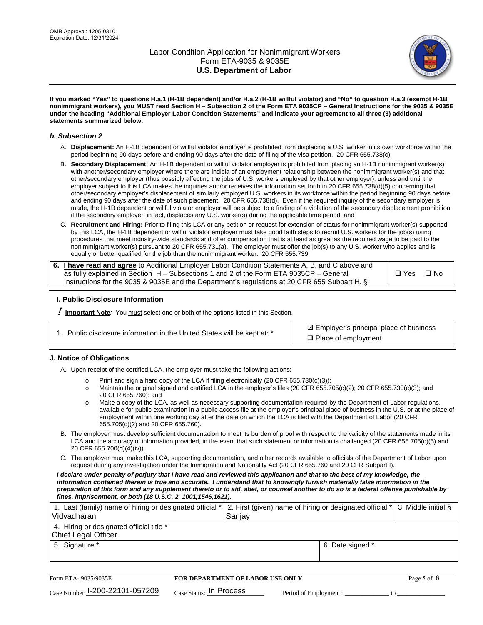

**If you marked "Yes" to questions H.a.1 (H-1B dependent) and/or H.a.2 (H-1B willful violator) and "No" to question H.a.3 (exempt H-1B nonimmigrant workers), you MUST read Section H – Subsection 2 of the Form ETA 9035CP – General Instructions for the 9035 & 9035E under the heading "Additional Employer Labor Condition Statements" and indicate your agreement to all three (3) additional statements summarized below.**

#### *b. Subsection 2*

- A. **Displacement:** An H-1B dependent or willful violator employer is prohibited from displacing a U.S. worker in its own workforce within the period beginning 90 days before and ending 90 days after the date of filing of the visa petition. 20 CFR 655.738(c);
- B. **Secondary Displacement:** An H-1B dependent or willful violator employer is prohibited from placing an H-1B nonimmigrant worker(s) with another/secondary employer where there are indicia of an employment relationship between the nonimmigrant worker(s) and that other/secondary employer (thus possibly affecting the jobs of U.S. workers employed by that other employer), unless and until the employer subject to this LCA makes the inquiries and/or receives the information set forth in 20 CFR 655.738(d)(5) concerning that other/secondary employer's displacement of similarly employed U.S. workers in its workforce within the period beginning 90 days before and ending 90 days after the date of such placement. 20 CFR 655.738(d). Even if the required inquiry of the secondary employer is made, the H-1B dependent or willful violator employer will be subject to a finding of a violation of the secondary displacement prohibition if the secondary employer, in fact, displaces any U.S. worker(s) during the applicable time period; and
- C. **Recruitment and Hiring:** Prior to filing this LCA or any petition or request for extension of status for nonimmigrant worker(s) supported by this LCA, the H-1B dependent or willful violator employer must take good faith steps to recruit U.S. workers for the job(s) using procedures that meet industry-wide standards and offer compensation that is at least as great as the required wage to be paid to the nonimmigrant worker(s) pursuant to 20 CFR 655.731(a). The employer must offer the job(s) to any U.S. worker who applies and is equally or better qualified for the job than the nonimmigrant worker. 20 CFR 655.739.

| 6. I have read and agree to Additional Employer Labor Condition Statements A, B, and C above and |       |           |
|--------------------------------------------------------------------------------------------------|-------|-----------|
| as fully explained in Section H – Subsections 1 and 2 of the Form ETA 9035CP – General           | □ Yes | $\Box$ No |
| Instructions for the 9035 & 9035E and the Department's regulations at 20 CFR 655 Subpart H. §    |       |           |

### **I. Public Disclosure Information**

! **Important Note***:* You must select one or both of the options listed in this Section.

**sqrt** Employer's principal place of business □ Place of employment

### **J. Notice of Obligations**

A. Upon receipt of the certified LCA, the employer must take the following actions:

- o Print and sign a hard copy of the LCA if filing electronically (20 CFR 655.730(c)(3));<br>
Maintain the original signed and certified LCA in the employer's files (20 CFR 655.7
- Maintain the original signed and certified LCA in the employer's files (20 CFR 655.705(c)(2); 20 CFR 655.730(c)(3); and 20 CFR 655.760); and
- o Make a copy of the LCA, as well as necessary supporting documentation required by the Department of Labor regulations, available for public examination in a public access file at the employer's principal place of business in the U.S. or at the place of employment within one working day after the date on which the LCA is filed with the Department of Labor (20 CFR 655.705(c)(2) and 20 CFR 655.760).
- B. The employer must develop sufficient documentation to meet its burden of proof with respect to the validity of the statements made in its LCA and the accuracy of information provided, in the event that such statement or information is challenged (20 CFR 655.705(c)(5) and 20 CFR 655.700(d)(4)(iv)).
- C. The employer must make this LCA, supporting documentation, and other records available to officials of the Department of Labor upon request during any investigation under the Immigration and Nationality Act (20 CFR 655.760 and 20 CFR Subpart I).

*I declare under penalty of perjury that I have read and reviewed this application and that to the best of my knowledge, the*  information contained therein is true and accurate. I understand that to knowingly furnish materially false information in the *preparation of this form and any supplement thereto or to aid, abet, or counsel another to do so is a federal offense punishable by fines, imprisonment, or both (18 U.S.C. 2, 1001,1546,1621).*

| 1. Last (family) name of hiring or designated official *   2. First (given) name of hiring or designated official *   3. Middle initial §<br>Vidyadharan | Saniav           |  |
|----------------------------------------------------------------------------------------------------------------------------------------------------------|------------------|--|
| 4. Hiring or designated official title *<br>Chief Legal Officer                                                                                          |                  |  |
| 5. Signature *                                                                                                                                           | 6. Date signed * |  |

| Form ETA-9035/9035E                         | FOR DEPARTMENT OF LABOR USE ONLY   |                       | Page 5 of 6 |
|---------------------------------------------|------------------------------------|-----------------------|-------------|
| $_{\text{Case Number:}}$ I-200-22101-057209 | $_{\rm Case~S status:}$ In Process | Period of Employment: |             |